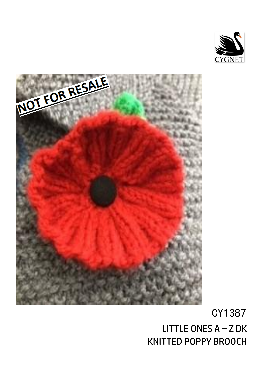



# CY1387 LITTLE ONES  $A - Z$  DK KNITTED POPPY BROOCH